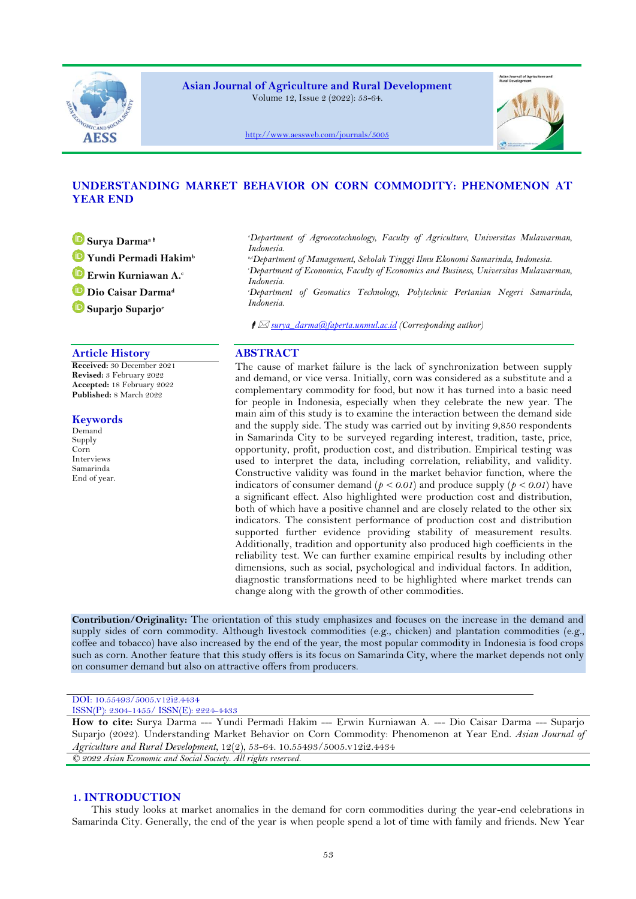

**Asian Journal of Agriculture and Rural Development** Volume 12, Issue 2 (2022): 53-64.



<http://www.aessweb.com/journals/5005>

# **UNDERSTANDING MARKET BEHAVIOR ON CORN COMMODITY: PHENOMENON AT YEAR END**

**Surya Darma<sup>a</sup> Yundi Permadi Hakim<sup>b</sup>**

**Erwin Kurniawan A.<sup>c</sup>**

**Dio Caisar Darma<sup>d</sup>**

**Suparjo Suparjo<sup>e</sup>**

# **Article History ABSTRACT**

**Received:** 30 December 2021 **Revised:** 3 February 2022 **Accepted:** 18 February 2022 **Published:** 8 March 2022

### **Keywords**

Demand Supply Corn Interviews Samarinda End of year. *<sup>a</sup>Department of Agroecotechnology, Faculty of Agriculture, Universitas Mulawarman, Indonesia.*

*b,dDepartment of Management, Sekolah Tinggi Ilmu Ekonomi Samarinda, Indonesia. <sup>c</sup>Department of Economics, Faculty of Economics and Business, Universitas Mulawarman, Indonesia.*

*<sup>e</sup>Department of Geomatics Technology, Polytechnic Pertanian Negeri Samarinda, Indonesia.*

*surya\_darma@faperta.unmul.ac.id (Corresponding author)*

The cause of market failure is the lack of synchronization between supply and demand, or vice versa. Initially, corn was considered as a substitute and a complementary commodity for food, but now it has turned into a basic need for people in Indonesia, especially when they celebrate the new year. The main aim of this study is to examine the interaction between the demand side and the supply side. The study was carried out by inviting 9,850 respondents in Samarinda City to be surveyed regarding interest, tradition, taste, price, opportunity, profit, production cost, and distribution. Empirical testing was used to interpret the data, including correlation, reliability, and validity. Constructive validity was found in the market behavior function, where the indicators of consumer demand ( $p < 0.01$ ) and produce supply ( $p < 0.01$ ) have a significant effect. Also highlighted were production cost and distribution, both of which have a positive channel and are closely related to the other six indicators. The consistent performance of production cost and distribution supported further evidence providing stability of measurement results. Additionally, tradition and opportunity also produced high coefficients in the reliability test. We can further examine empirical results by including other dimensions, such as social, psychological and individual factors. In addition, diagnostic transformations need to be highlighted where market trends can change along with the growth of other commodities.

**Contribution/Originality:** The orientation of this study emphasizes and focuses on the increase in the demand and supply sides of corn commodity. Although livestock commodities (e.g., chicken) and plantation commodities (e.g., coffee and tobacco) have also increased by the end of the year, the most popular commodity in Indonesia is food crops such as corn. Another feature that this study offers is its focus on Samarinda City, where the market depends not only on consumer demand but also on attractive offers from producers.

#### DOI: 10.55493/5005.v12i2.4434 ISSN(P): 2304-1455/ ISSN(E): 2224-4433

**How to cite:** Surya Darma --- Yundi Permadi Hakim --- Erwin Kurniawan A. --- Dio Caisar Darma --- Suparjo Suparjo (2022). Understanding Market Behavior on Corn Commodity: Phenomenon at Year End. *Asian Journal of Agriculture and Rural Development*, 12(2), 53-64. 10.55493/5005.v12i2.4434 *© 2022 Asian Economic and Social Society. All rights reserved.*

# **1. INTRODUCTION**

This study looks at market anomalies in the demand for corn commodities during the year-end celebrations in Samarinda City. Generally, the end of the year is when people spend a lot of time with family and friends. New Year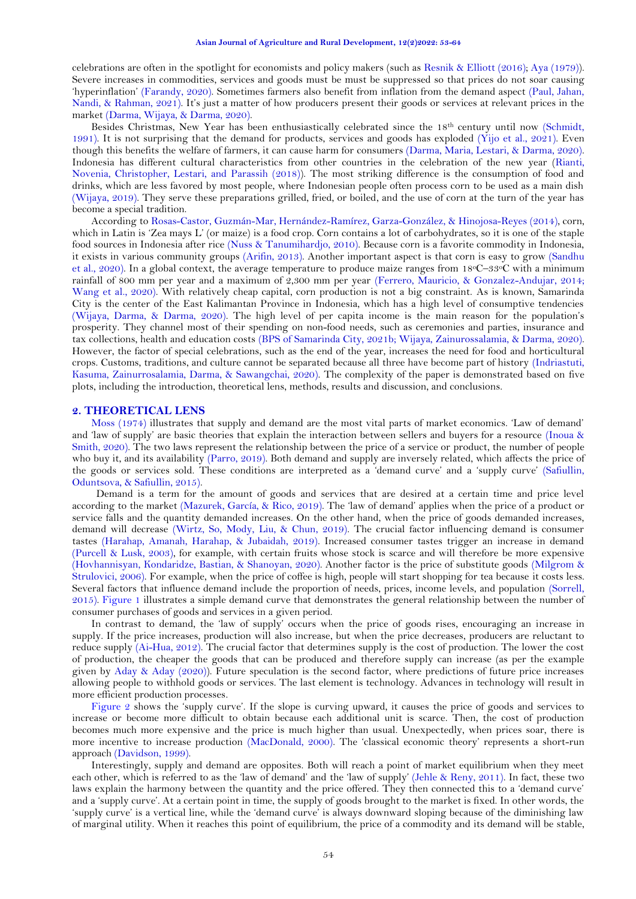celebrations are often in the spotlight for economists and policy makers (such as Resnik & [Elliott \(2016\)](#page-10-0); [Aya \(1979\)](#page-9-0)). Severe increases in commodities, services and goods must be must be suppressed so that prices do not soar causing 'hyperinflation' [\(Farandy, 2020\)](#page-9-1). Sometimes farmers also benefit from inflation from the demand aspect [\(Paul, Jahan,](#page-10-1)  [Nandi, & Rahman, 2021\)](#page-10-1). It's just a matter of how producers present their goods or services at relevant prices in the market [\(Darma, Wijaya, & Darma, 2020\)](#page-9-2).

Besides Christmas, New Year has been enthusiastically celebrated since the 18th century until now [\(Schmidt,](#page-11-0)  [1991\)](#page-11-0). It is not surprising that the demand for products, services and goods has exploded [\(Yijo et al., 2021\)](#page-11-1). Even though this benefits the welfare of farmers, it can cause harm for consumers [\(Darma, Maria, Lestari, & Darma, 2020\)](#page-9-3). Indonesia has different cultural characteristics from other countries in the celebration of the new year [\(Rianti,](#page-10-2)  [Novenia, Christopher, Lestari, and Parassih \(2018\)](#page-10-2)). The most striking difference is the consumption of food and drinks, which are less favored by most people, where Indonesian people often process corn to be used as a main dish [\(Wijaya, 2019\)](#page-11-2). They serve these preparations grilled, fried, or boiled, and the use of corn at the turn of the year has become a special tradition.

According to [Rosas-Castor, Guzmán-Mar, Hernández-Ramírez, Garza-González, &](#page-11-3) Hinojosa-Reyes (2014), corn, which in Latin is 'Zea mays L' (or maize) is a food crop. Corn contains a lot of carbohydrates, so it is one of the staple food sources in Indonesia after rice [\(Nuss & Tanumihardjo, 2010\)](#page-10-3). Because corn is a favorite commodity in Indonesia, it exists in various community groups [\(Arifin, 2013\)](#page-9-4). Another important aspect is that corn is easy to grow [\(Sandhu](#page-11-4)  [et al., 2020\)](#page-11-4). In a global context, the average temperature to produce maize ranges from 18°C–33°C with a minimum rainfall of 800 mm per year and a maximum of 2,300 mm per year [\(Ferrero, Mauricio, & Gonzalez-Andujar, 2014;](#page-9-5) [Wang et al., 2020\)](#page-11-5). With relatively cheap capital, corn production is not a big constraint. As is known, Samarinda City is the center of the East Kalimantan Province in Indonesia, which has a high level of consumptive tendencies [\(Wijaya, Darma, & Darma, 2020\)](#page-11-6). The high level of per capita income is the main reason for the population's prosperity. They channel most of their spending on non-food needs, such as ceremonies and parties, insurance and tax collections, health and education costs [\(BPS of Samarinda City, 2021b;](#page-9-6) [Wijaya, Zainurossalamia, & Darma, 2020\)](#page-11-7). However, the factor of special celebrations, such as the end of the year, increases the need for food and horticultural crops. Customs, traditions, and culture cannot be separated because all three have become part of history [\(Indriastuti,](#page-10-4)  [Kasuma, Zainurrosalamia, Darma, & Sawangchai, 2020\)](#page-10-4). The complexity of the paper is demonstrated based on five plots, including the introduction, theoretical lens, methods, results and discussion, and conclusions.

### **2. THEORETICAL LENS**

[Moss \(1974\)](#page-10-5) illustrates that supply and demand are the most vital parts of market economics. 'Law of demand' and 'law of supply' are basic theories that explain the interaction between sellers and buyers for a resource (Inoua & [Smith, 2020\)](#page-10-6). The two laws represent the relationship between the price of a service or product, the number of people who buy it, and its availability [\(Parro, 2019\)](#page-10-7). Both demand and supply are inversely related, which affects the price of the goods or services sold. These conditions are interpreted as a 'demand curve' and a 'supply curve' [\(Safiullin,](#page-11-8)  [Oduntsova, & Safiullin, 2015\)](#page-11-8).

Demand is a term for the amount of goods and services that are desired at a certain time and price level according to the market [\(Mazurek, García, & Rico, 2019\)](#page-10-8). The 'law of demand' applies when the price of a product or service falls and the quantity demanded increases. On the other hand, when the price of goods demanded increases, demand will decrease [\(Wirtz, So, Mody, Liu, & Chun, 2019\)](#page-11-9). The crucial factor influencing demand is consumer tastes [\(Harahap, Amanah, Harahap, & Jubaidah, 2019\)](#page-9-7). Increased consumer tastes trigger an increase in demand [\(Purcell & Lusk, 2003\)](#page-10-9), for example, with certain fruits whose stock is scarce and will therefore be more expensive [\(Hovhannisyan, Kondaridze, Bastian, &](#page-10-10) Shanoyan, 2020). Another factor is the price of substitute goods [\(Milgrom &](#page-10-11)  [Strulovici, 2006\)](#page-10-11). For example, when the price of coffee is high, people will start shopping for tea because it costs less. Several factors that influence demand include the proportion of needs, prices, income levels, and population [\(Sorrell,](#page-11-10)  [2015\)](#page-11-10). [Figure 1](#page-2-0) illustrates a simple demand curve that demonstrates the general relationship between the number of consumer purchases of goods and services in a given period.

In contrast to demand, the 'law of supply' occurs when the price of goods rises, encouraging an increase in supply. If the price increases, production will also increase, but when the price decreases, producers are reluctant to reduce supply [\(Ai-Hua, 2012\)](#page-9-8). The crucial factor that determines supply is the cost of production. The lower the cost of production, the cheaper the goods that can be produced and therefore supply can increase (as per the example given by Aday & [Aday \(2020\)](#page-9-9)). Future speculation is the second factor, where predictions of future price increases allowing people to withhold goods or services. The last element is technology. Advances in technology will result in more efficient production processes.

[Figure 2](#page-2-1) shows the 'supply curve'. If the slope is curving upward, it causes the price of goods and services to increase or become more difficult to obtain because each additional unit is scarce. Then, the cost of production becomes much more expensive and the price is much higher than usual. Unexpectedly, when prices soar, there is more incentive to increase production [\(MacDonald, 2000\)](#page-10-12). The 'classical economic theory' represents a short-run approach [\(Davidson, 1999\)](#page-9-10).

Interestingly, supply and demand are opposites. Both will reach a point of market equilibrium when they meet each other, which is referred to as the 'law of demand' and the 'law of supply' [\(Jehle & Reny, 2011\)](#page-10-13). In fact, these two laws explain the harmony between the quantity and the price offered. They then connected this to a 'demand curve' and a 'supply curve'. At a certain point in time, the supply of goods brought to the market is fixed. In other words, the 'supply curve' is a vertical line, while the 'demand curve' is always downward sloping because of the diminishing law of marginal utility. When it reaches this point of equilibrium, the price of a commodity and its demand will be stable,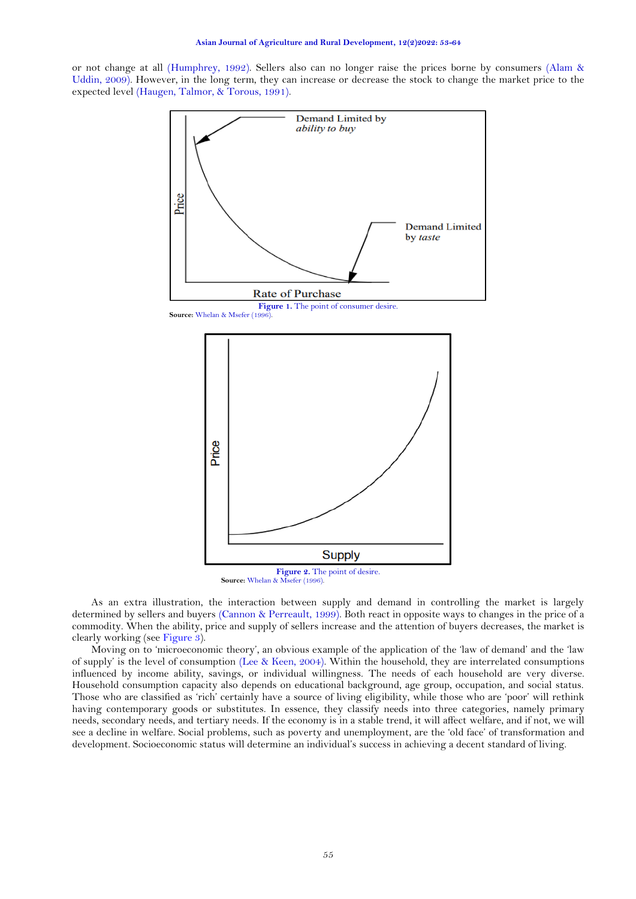or not change at all [\(Humphrey, 1992\)](#page-10-14). Sellers also can no longer raise the prices borne by consumers [\(Alam &](#page-9-11)  [Uddin, 2009\)](#page-9-11). However, in the long term, they can increase or decrease the stock to change the market price to the expected level [\(Haugen, Talmor, & Torous, 1991\)](#page-9-12).

<span id="page-2-0"></span>

**Source:** Whelan & [Msefer \(1996\)](#page-11-11).

<span id="page-2-1"></span>As an extra illustration, the interaction between supply and demand in controlling the market is largely determined by sellers and buyers [\(Cannon & Perreault, 1999\)](#page-9-13). Both react in opposite ways to changes in the price of a commodity. When the ability, price and supply of sellers increase and the attention of buyers decreases, the market is clearly working (see [Figure 3\)](#page-3-0).

Moving on to 'microeconomic theory', an obvious example of the application of the 'law of demand' and the 'law of supply' is the level of consumption [\(Lee & Keen, 2004\)](#page-10-15). Within the household, they are interrelated consumptions influenced by income ability, savings, or individual willingness. The needs of each household are very diverse. Household consumption capacity also depends on educational background, age group, occupation, and social status. Those who are classified as 'rich' certainly have a source of living eligibility, while those who are 'poor' will rethink having contemporary goods or substitutes. In essence, they classify needs into three categories, namely primary needs, secondary needs, and tertiary needs. If the economy is in a stable trend, it will affect welfare, and if not, we will see a decline in welfare. Social problems, such as poverty and unemployment, are the 'old face' of transformation and development. Socioeconomic status will determine an individual's success in achieving a decent standard of living.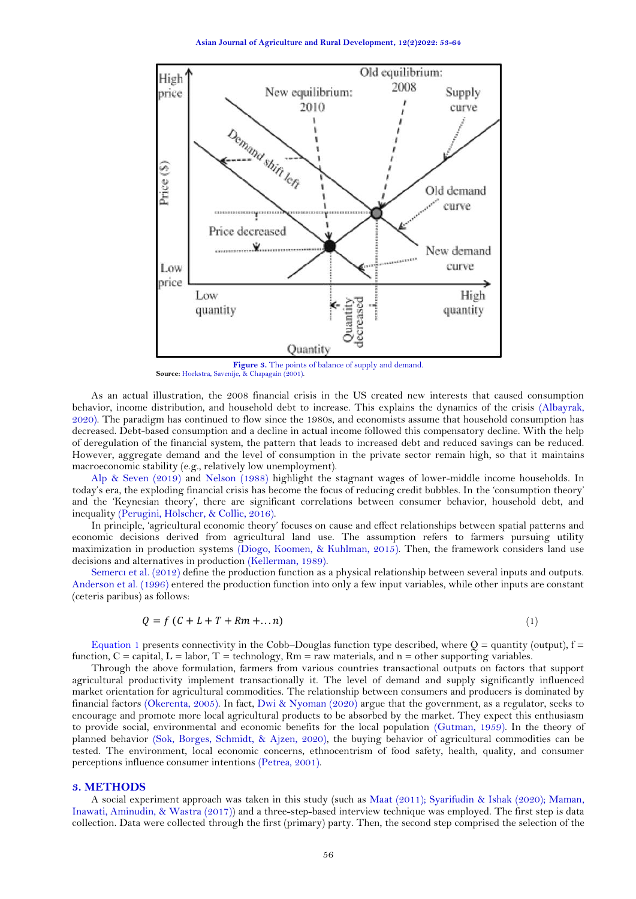**Asian Journal of Agriculture and Rural Development, 12(2)2022: 53-64**



Figure 3. The points of balance of supply and demand.  **Source:** [Hoekstra, Savenije, &](#page-9-14) Chapagain (2001).

<span id="page-3-0"></span>As an actual illustration, the 2008 financial crisis in the US created new interests that caused consumption behavior, income distribution, and household debt to increase. This explains the dynamics of the crisis [\(Albayrak,](#page-9-15)  [2020\)](#page-9-15). The paradigm has continued to flow since the 1980s, and economists assume that household consumption has decreased. Debt-based consumption and a decline in actual income followed this compensatory decline. With the help of deregulation of the financial system, the pattern that leads to increased debt and reduced savings can be reduced. However, aggregate demand and the level of consumption in the private sector remain high, so that it maintains macroeconomic stability (e.g., relatively low unemployment).

Alp & [Seven \(2019\)](#page-9-16) and [Nelson \(1988\)](#page-10-16) highlight the stagnant wages of lower-middle income households. In today's era, the exploding financial crisis has become the focus of reducing credit bubbles. In the 'consumption theory' and the 'Keynesian theory', there are significant correlations between consumer behavior, household debt, and inequality [\(Perugini, Hölscher, & Collie, 2016\)](#page-10-17).

In principle, 'agricultural economic theory' focuses on cause and effect relationships between spatial patterns and economic decisions derived from agricultural land use. The assumption refers to farmers pursuing utility maximization in production systems [\(Diogo, Koomen, & Kuhlman, 2015\)](#page-9-17). Then, the framework considers land use decisions and alternatives in production [\(Kellerman, 1989\)](#page-10-18).

[Semercı et al. \(2012](#page-11-12)) define the production function as a physical relationship between several inputs and outputs. [Anderson et al. \(1996\)](#page-9-18) entered the production function into only a few input variables, while other inputs are constant (ceteris paribus) as follows:

<span id="page-3-1"></span>
$$
Q = f(C + L + T + Rm + ...n)
$$
\n<sup>(1)</sup>

[Equation 1](#page-3-1) presents connectivity in the Cobb–Douglas function type described, where  $Q =$  quantity (output),  $f =$ function,  $C =$  capital,  $L =$  labor,  $T =$  technology,  $Rm =$  raw materials, and  $n =$  other supporting variables.

Through the above formulation, farmers from various countries transactional outputs on factors that support agricultural productivity implement transactionally it. The level of demand and supply significantly influenced market orientation for agricultural commodities. The relationship between consumers and producers is dominated by financial factors [\(Okerenta, 2005\)](#page-10-19). In fact, Dwi & [Nyoman \(2020\)](#page-9-19) argue that the government, as a regulator, seeks to encourage and promote more local agricultural products to be absorbed by the market. They expect this enthusiasm to provide social, environmental and economic benefits for the local population [\(Gutman, 1959\)](#page-9-20). In the theory of planned behavior [\(Sok, Borges, Schmidt, & Ajzen, 2020\)](#page-11-13), the buying behavior of agricultural commodities can be tested. The environment, local economic concerns, ethnocentrism of food safety, health, quality, and consumer perceptions influence consumer intentions [\(Petrea, 2001\)](#page-10-20).

#### **3. METHODS**

A social experiment approach was taken in this study (such as [Maat \(2011\)](#page-10-21); [Syarifudin &](#page-11-14) Ishak (2020); [Maman,](#page-10-22)  [Inawati, Aminudin, &](#page-10-22) Wastra (2017)) and a three-step-based interview technique was employed. The first step is data collection. Data were collected through the first (primary) party. Then, the second step comprised the selection of the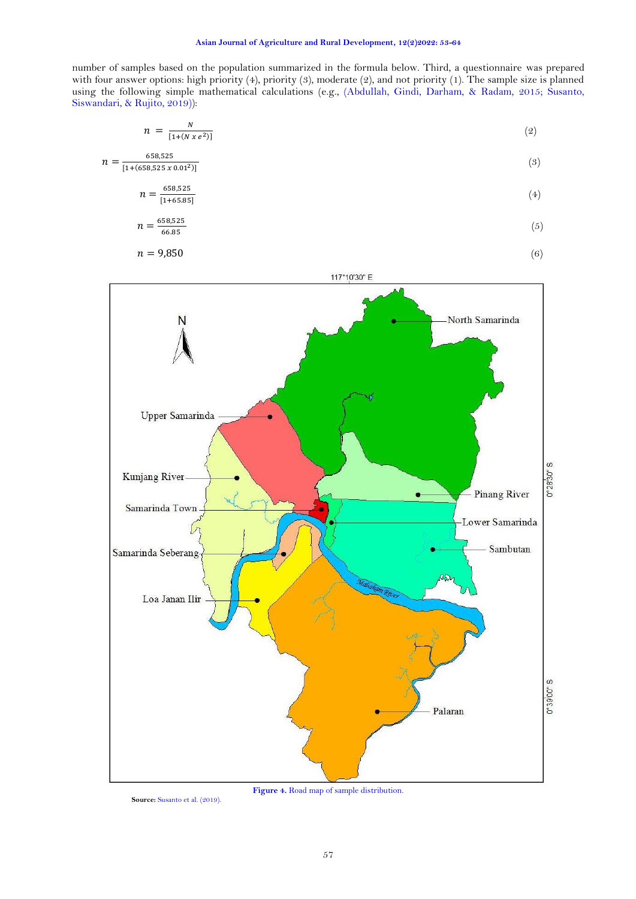number of samples based on the population summarized in the formula below. Third, a questionnaire was prepared with four answer options: high priority (4), priority (3), moderate (2), and not priority (1). The sample size is planned using the following simple mathematical calculations (e.g., [\(Abdullah, Gindi, Darham, & Radam, 2015;](#page-9-21) [Susanto,](#page-11-15)  [Siswandari, & Rujito, 2019\)](#page-11-15)):

<span id="page-4-0"></span>
$$
n = \frac{N}{[1 + (N \, x \, e^2)]} \tag{2}
$$

$$
n = \frac{658,525}{[1 + (658,525 \times 0.01^2)]}
$$
(3)

$$
n = \frac{658,525}{[1+65.85]}
$$
 (4)

$$
n = \frac{658,525}{66.85} \tag{5}
$$

$$
n = 9{,}850
$$
 (6)





<span id="page-4-1"></span>**Source:** [Susanto et al. \(2019\).](#page-11-15)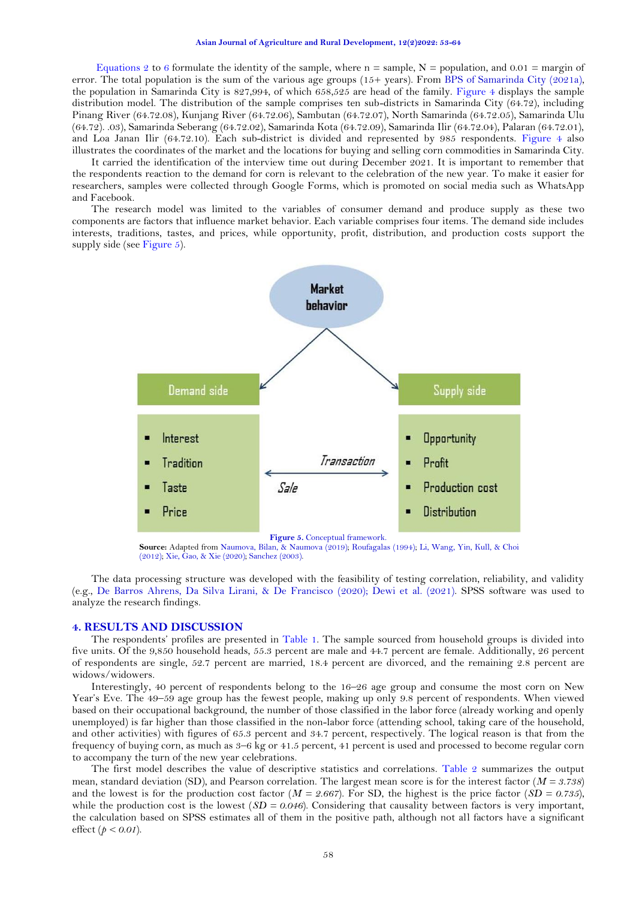#### **Asian Journal of Agriculture and Rural Development, 12(2)2022: 53-64**

[Equations 2 to](#page-4-0) 6 formulate the identity of the sample, where  $n =$  sample,  $N =$  population, and 0.01 = margin of error. The total population is the sum of the various age groups (15+ years). From [BPS of Samarinda City \(2021a\)](#page-9-22), the population in Samarinda City is 827,994, of which 658,525 are head of the family. [Figure 4](#page-4-1) displays the sample distribution model. The distribution of the sample comprises ten sub-districts in Samarinda City (64.72), including Pinang River (64.72.08), Kunjang River (64.72.06), Sambutan (64.72.07), North Samarinda (64.72.05), Samarinda Ulu (64.72). .03), Samarinda Seberang (64.72.02), Samarinda Kota (64.72.09), Samarinda Ilir (64.72.04), Palaran (64.72.01), and Loa Janan Ilir (64.72.10). Each sub-district is divided and represented by 985 respondents. [Figure 4](#page-4-1) also illustrates the coordinates of the market and the locations for buying and selling corn commodities in Samarinda City.

It carried the identification of the interview time out during December 2021. It is important to remember that the respondents reaction to the demand for corn is relevant to the celebration of the new year. To make it easier for researchers, samples were collected through Google Forms, which is promoted on social media such as WhatsApp and Facebook.

The research model was limited to the variables of consumer demand and produce supply as these two components are factors that influence market behavior. Each variable comprises four items. The demand side includes interests, traditions, tastes, and prices, while opportunity, profit, distribution, and production costs support the supply side (see [Figure 5\)](#page-5-0).



**Source:** Adapted fro[m Naumova, Bilan, &](#page-10-23) Naumova (2019)[; Roufagalas \(1994\)](#page-11-16)[; Li, Wang, Yin, Kull, &](#page-10-24) Choi [\(2012\)](#page-10-24)[; Xie, Gao, &](#page-11-17) Xie (2020)[; Sanchez \(2003\)](#page-11-18).

<span id="page-5-0"></span>The data processing structure was developed with the feasibility of testing correlation, reliability, and validity (e.g., [De Barros Ahrens, Da Silva Lirani, & De Francisco \(2020\)](#page-9-23); [Dewi et al. \(2021\)](#page-9-24). SPSS software was used to analyze the research findings.

# **4. RESULTS AND DISCUSSION**

The respondents' profiles are presented in [Table 1.](#page-6-0) The sample sourced from household groups is divided into five units. Of the 9,850 household heads, 55.3 percent are male and 44.7 percent are female. Additionally, 26 percent of respondents are single, 52.7 percent are married, 18.4 percent are divorced, and the remaining 2.8 percent are widows/widowers.

Interestingly, 40 percent of respondents belong to the 16–26 age group and consume the most corn on New Year's Eve. The 49–59 age group has the fewest people, making up only 9.8 percent of respondents. When viewed based on their occupational background, the number of those classified in the labor force (already working and openly unemployed) is far higher than those classified in the non-labor force (attending school, taking care of the household, and other activities) with figures of 65.3 percent and 34.7 percent, respectively. The logical reason is that from the frequency of buying corn, as much as 3–6 kg or 41.5 percent, 41 percent is used and processed to become regular corn to accompany the turn of the new year celebrations.

The first model describes the value of descriptive statistics and correlations. [Table 2](#page-6-1) summarizes the output mean, standard deviation (SD), and Pearson correlation. The largest mean score is for the interest factor (*M = 3.738*) and the lowest is for the production cost factor ( $M = 2.667$ ). For SD, the highest is the price factor ( $SD = 0.735$ ), while the production cost is the lowest  $(SD = 0.046)$ . Considering that causality between factors is very important, the calculation based on SPSS estimates all of them in the positive path, although not all factors have a significant effect (*p < 0.01*).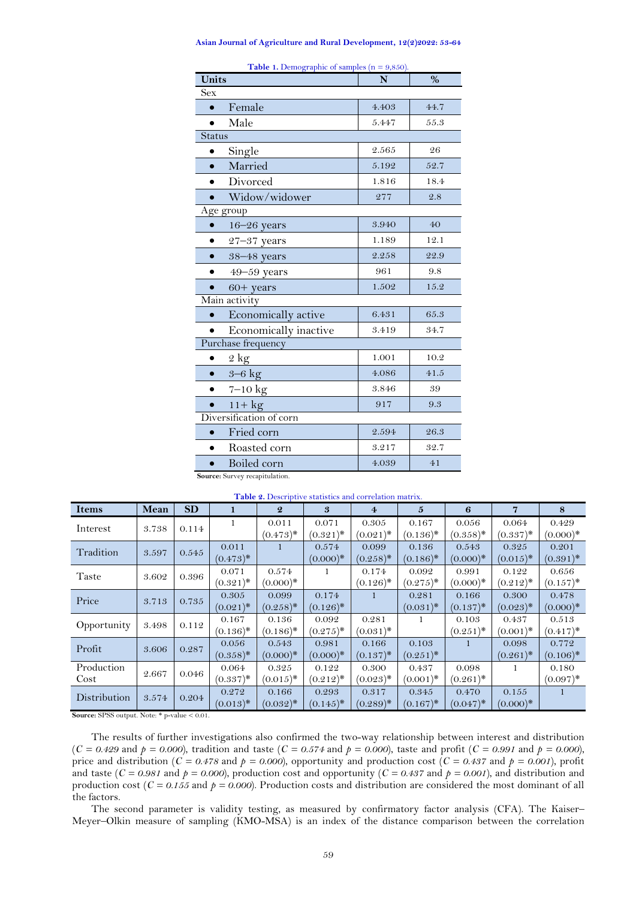## **Asian Journal of Agriculture and Rural Development, 12(2)2022: 53-64**

<span id="page-6-0"></span>

| <b>Table 1.</b> Demographic of samples $(n = 9,850)$ . |       |      |  |  |  |
|--------------------------------------------------------|-------|------|--|--|--|
| Units                                                  | N     | $\%$ |  |  |  |
| <b>Sex</b>                                             |       |      |  |  |  |
| Female<br>$\bullet$                                    | 4.403 | 44.7 |  |  |  |
| Male<br>$\bullet$                                      | 5.447 | 55.3 |  |  |  |
| <b>Status</b>                                          |       |      |  |  |  |
| Single<br>$\bullet$                                    | 2.565 | 26   |  |  |  |
| Married<br>$\bullet$                                   | 5.192 | 52.7 |  |  |  |
| Divorced<br>$\bullet$                                  | 1.816 | 18.4 |  |  |  |
| Widow/widower                                          | 277   | 2.8  |  |  |  |
| Age group                                              |       |      |  |  |  |
| $16 - 26$ years<br>$\bullet$                           | 3.940 | 40   |  |  |  |
| $27 - 37$ years<br>$\bullet$                           | 1.189 | 12.1 |  |  |  |
| 38-48 years<br>$\bullet$                               | 2.258 | 22.9 |  |  |  |
| $49 - 59$ years                                        | 961   | 9.8  |  |  |  |
| $60+$ years                                            | 1.502 | 15.2 |  |  |  |
| Main activity                                          |       |      |  |  |  |
| Economically active                                    | 6.431 | 65.3 |  |  |  |
| Economically inactive                                  | 3.419 | 34.7 |  |  |  |
| Purchase frequency                                     |       |      |  |  |  |
| $2 \text{ kg}$                                         | 1.001 | 10.2 |  |  |  |
| $3-6$ kg<br>$\bullet$                                  | 4.086 | 41.5 |  |  |  |
| $7-10$ kg                                              | 3.846 | 39   |  |  |  |
| $11 + kg$<br>$\bullet$                                 | 917   | 9.3  |  |  |  |
| Diversification of corn                                |       |      |  |  |  |
| Fried corn<br>$\bullet$                                | 2.594 | 26.3 |  |  |  |
| Roasted corn                                           | 3.217 | 32.7 |  |  |  |
| Boiled corn                                            | 4.039 | 41   |  |  |  |

**Table 1.** Demographic of samples (n = 9,850).

**Source:** Survey recapitulation.

<span id="page-6-1"></span>

| Table 2. Descriptive statistics and correlation matrix. |       |           |                      |                      |                      |                      |                      |                      |                      |                                 |
|---------------------------------------------------------|-------|-----------|----------------------|----------------------|----------------------|----------------------|----------------------|----------------------|----------------------|---------------------------------|
| <b>Items</b>                                            | Mean  | <b>SD</b> |                      | $\boldsymbol{Q}$     | 3                    | $\overline{4}$       | $\mathbf{5}$         | 6                    | 7                    | 8                               |
| Interest                                                | 3.738 | 0.114     | 1                    | 0.011<br>$(0.473)^*$ | 0.071<br>$(0.321)^*$ | 0.305<br>$(0.021)^*$ | 0.167<br>$(0.136)^*$ | 0.056<br>$(0.358)^*$ | 0.064<br>$(0.337)^*$ | 0.429<br>$(0.000)*$             |
| Tradition                                               | 3.597 | 0.545     | 0.011<br>$(0.473)^*$ |                      | 0.574<br>$(0.000)*$  | 0.099<br>$(0.258)^*$ | 0.136<br>$(0.186)$ * | 0.543<br>$(0.000)*$  | 0.325<br>$(0.015)^*$ | 0.201<br>$(0.391)^*$            |
| Taste                                                   | 3.602 | 0.396     | 0.071<br>$(0.321)^*$ | 0.574<br>$(0.000)*$  | -1                   | 0.174<br>$(0.126)^*$ | 0.092<br>$(0.275)^*$ | 0.991<br>$(0.000)*$  | 0.122<br>$(0.212)^*$ | 0.656<br>$(0.157)^*$            |
| Price                                                   | 3.713 | 0.735     | 0.305<br>$(0.021)^*$ | 0.099<br>$(0.258)^*$ | 0.174<br>$(0.126)^*$ | $\mathbf{1}$         | 0.281<br>$(0.031)^*$ | 0.166<br>$(0.137)^*$ | 0.300<br>$(0.023)^*$ | 0.478<br>$(0.000)*$             |
| Opportunity                                             | 3.498 | 0.112     | 0.167<br>$(0.136)^*$ | 0.136<br>$(0.186)^*$ | 0.092<br>$(0.275)^*$ | 0.281<br>$(0.031)^*$ | 1                    | 0.103<br>$(0.251)^*$ | 0.437<br>$(0.001)^*$ | 0.513<br>$(0.417)^*$            |
| Profit                                                  | 3.606 | 0.287     | 0.056<br>$(0.358)*$  | 0.543<br>$(0.000)*$  | 0.981<br>$(0.000)*$  | 0.166<br>$(0.137)^*$ | 0.103<br>$(0.251)^*$ | $\mathbf{1}$         | 0.098<br>$(0.261)^*$ | 0.772<br>$(0.106)$ <sup>*</sup> |
| Production<br>Cost                                      | 2.667 | 0.046     | 0.064<br>$(0.337)^*$ | 0.325<br>$(0.015)^*$ | 0.122<br>$(0.212)^*$ | 0.300<br>$(0.023)^*$ | 0.437<br>$(0.001)^*$ | 0.098<br>$(0.261)^*$ | 1                    | 0.180<br>$(0.097)^*$            |
| Distribution                                            | 3.574 | 0.204     | 0.272<br>$(0.013)^*$ | 0.166<br>$(0.032)^*$ | 0.293<br>$(0.145)^*$ | 0.317<br>$(0.289)^*$ | 0.345<br>$(0.167)^*$ | 0.470<br>$(0.047)^*$ | 0.155<br>$(0.000)*$  | $\mathbf{1}$                    |

**Source:** SPSS output. Note: \* p-value < 0.01.

The results of further investigations also confirmed the two-way relationship between interest and distribution  $(C = 0.429$  and  $p = 0.000$ , tradition and taste  $(C = 0.574$  and  $p = 0.000$ , taste and profit  $(C = 0.991$  and  $p = 0.000$ , price and distribution ( $C = 0.478$  and  $p = 0.000$ ), opportunity and production cost ( $C = 0.437$  and  $p = 0.001$ ), profit and taste ( $C = 0.981$  and  $p = 0.000$ ), production cost and opportunity ( $C = 0.437$  and  $p = 0.001$ ), and distribution and production cost (*C = 0.155* and *p = 0.000*). Production costs and distribution are considered the most dominant of all the factors.

The second parameter is validity testing, as measured by confirmatory factor analysis (CFA). The Kaiser– Meyer–Olkin measure of sampling (KMO-MSA) is an index of the distance comparison between the correlation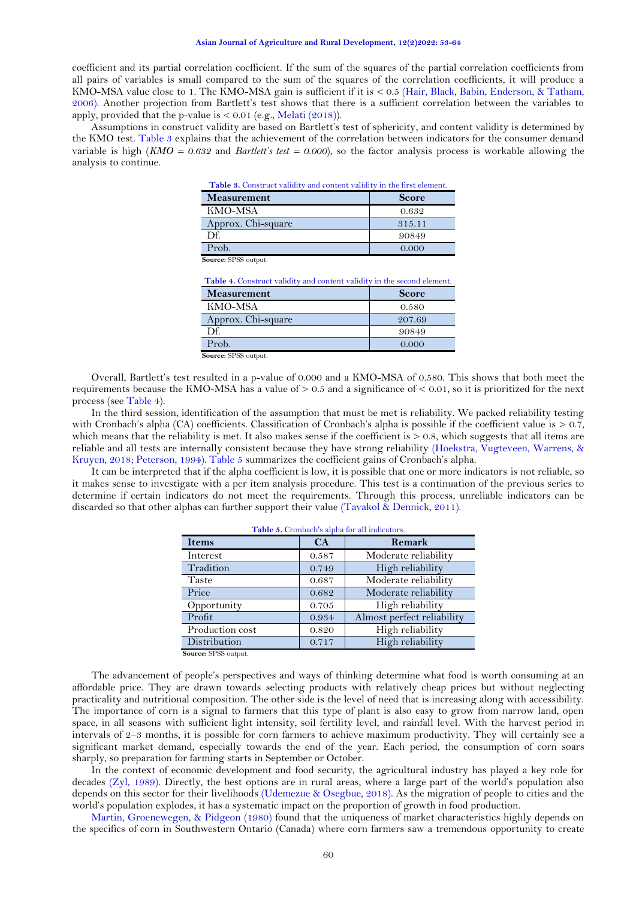coefficient and its partial correlation coefficient. If the sum of the squares of the partial correlation coefficients from all pairs of variables is small compared to the sum of the squares of the correlation coefficients, it will produce a KMO-MSA value close to 1. The KMO-MSA gain is sufficient if it is < 0.5 [\(Hair, Black, Babin, Enderson, & Tatham,](#page-9-25)  [2006\)](#page-9-25). Another projection from Bartlett's test shows that there is a sufficient correlation between the variables to apply, provided that the p-value is  $< 0.01$  (e.g., [Melati](#page-10-25) (2018)).

<span id="page-7-0"></span>Assumptions in construct validity are based on Bartlett's test of sphericity, and content validity is determined by the KMO test. [Table 3](#page-7-0) explains that the achievement of the correlation between indicators for the consumer demand variable is high (*KMO = 0.632* and *Bartlett's test = 0.000*), so the factor analysis process is workable allowing the analysis to continue.

| Table 3. Construct validity and content validity in the first element. |              |  |
|------------------------------------------------------------------------|--------------|--|
| <b>Measurement</b>                                                     | <b>Score</b> |  |
| KMO-MSA                                                                | 0.632        |  |
| Approx. Chi-square                                                     | 315.11       |  |
| Df.                                                                    | 90849        |  |
| Prob.                                                                  | 0.000        |  |
| Source: SPSS output.                                                   |              |  |

| Table 4. Construct validity and content validity in the second element. |              |  |
|-------------------------------------------------------------------------|--------------|--|
| <b>Measurement</b>                                                      | <b>Score</b> |  |
| KMO-MSA                                                                 | 0.580        |  |
| Approx. Chi-square                                                      | 207.69       |  |
| D£.                                                                     | 90849        |  |
| Prob.                                                                   | 0.000        |  |
| $\sim$ $\sim$<br>$C1$ The $C2$                                          |              |  |

**Source:** SPSS output.

<span id="page-7-1"></span>Overall, Bartlett's test resulted in a p-value of 0.000 and a KMO-MSA of 0.580. This shows that both meet the requirements because the KMO-MSA has a value of  $> 0.5$  and a significance of  $< 0.01$ , so it is prioritized for the next process (see [Table 4\)](#page-7-1).

In the third session, identification of the assumption that must be met is reliability. We packed reliability testing with Cronbach's alpha (CA) coefficients. Classification of Cronbach's alpha is possible if the coefficient value is  $> 0.7$ , which means that the reliability is met. It also makes sense if the coefficient is  $> 0.8$ , which suggests that all items are reliable and all tests are internally consistent because they have strong reliability [\(Hoekstra, Vugteveen, Warrens, &](#page-9-26)  [Kruyen, 2018;](#page-9-26) [Peterson, 1994\)](#page-10-26). [Table 5](#page-7-2) summarizes the coefficient gains of Cronbach's alpha.

<span id="page-7-2"></span>It can be interpreted that if the alpha coefficient is low, it is possible that one or more indicators is not reliable, so it makes sense to investigate with a per item analysis procedure. This test is a continuation of the previous series to determine if certain indicators do not meet the requirements. Through this process, unreliable indicators can be discarded so that other alphas can further support their value [\(Tavakol & Dennick, 2011\)](#page-11-19).

**Table 5.** Cronbach's alpha for all indicators.

| <b>Table 5.</b> Cronbach's alpha for all indicators. |       |                            |  |  |
|------------------------------------------------------|-------|----------------------------|--|--|
| <b>Items</b>                                         | CA    | Remark                     |  |  |
| Interest                                             | 0.587 | Moderate reliability       |  |  |
| Tradition                                            | 0.749 | High reliability           |  |  |
| Taste                                                | 0.687 | Moderate reliability       |  |  |
| Price                                                | 0.682 | Moderate reliability       |  |  |
| Opportunity                                          | 0.705 | High reliability           |  |  |
| Profit                                               | 0.934 | Almost perfect reliability |  |  |
| Production cost                                      | 0.820 | High reliability           |  |  |
| Distribution                                         | 0.717 | High reliability           |  |  |
| Source: SPSS output.                                 |       |                            |  |  |

The advancement of people's perspectives and ways of thinking determine what food is worth consuming at an affordable price. They are drawn towards selecting products with relatively cheap prices but without neglecting practicality and nutritional composition. The other side is the level of need that is increasing along with accessibility. The importance of corn is a signal to farmers that this type of plant is also easy to grow from narrow land, open space, in all seasons with sufficient light intensity, soil fertility level, and rainfall level. With the harvest period in intervals of 2–3 months, it is possible for corn farmers to achieve maximum productivity. They will certainly see a significant market demand, especially towards the end of the year. Each period, the consumption of corn soars sharply, so preparation for farming starts in September or October.

In the context of economic development and food security, the agricultural industry has played a key role for decades [\(Zyl, 1989\)](#page-11-20). Directly, the best options are in rural areas, where a large part of the world's population also depends on this sector for their livelihoods [\(Udemezue & Osegbue, 2018\)](#page-11-21). As the migration of people to cities and the world's population explodes, it has a systematic impact on the proportion of growth in food production.

[Martin, Groenewegen, &](#page-10-27) Pidgeon (1980) found that the uniqueness of market characteristics highly depends on the specifics of corn in Southwestern Ontario (Canada) where corn farmers saw a tremendous opportunity to create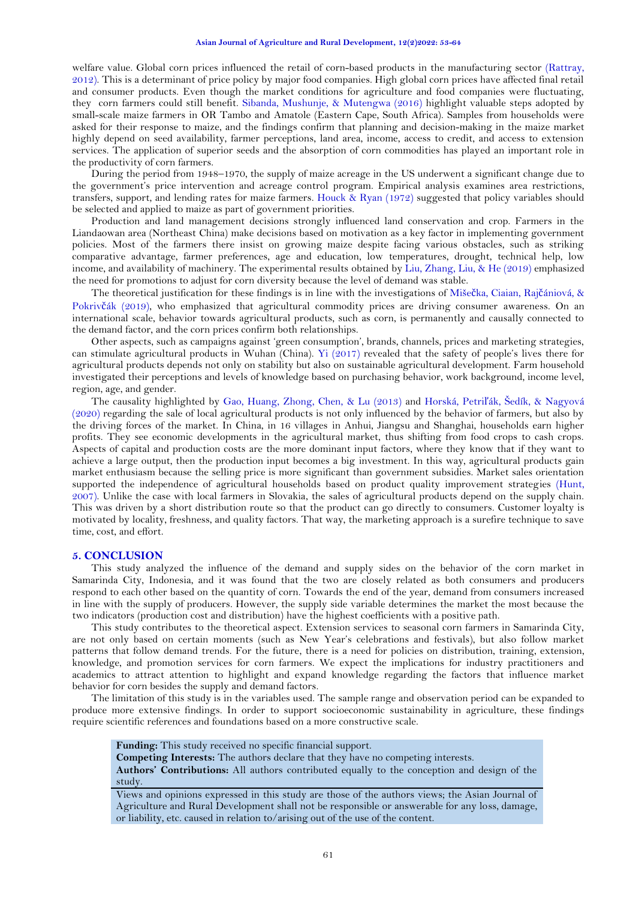welfare value. Global corn prices influenced the retail of corn-based products in the manufacturing sector [\(Rattray,](#page-10-28)  [2012\)](#page-10-28). This is a determinant of price policy by major food companies. High global corn prices have affected final retail and consumer products. Even though the market conditions for agriculture and food companies were fluctuating, they corn farmers could still benefit. [Sibanda, Mushunje, &](#page-11-22) Mutengwa (2016) highlight valuable steps adopted by small-scale maize farmers in OR Tambo and Amatole (Eastern Cape, South Africa). Samples from households were asked for their response to maize, and the findings confirm that planning and decision-making in the maize market highly depend on seed availability, farmer perceptions, land area, income, access to credit, and access to extension services. The application of superior seeds and the absorption of corn commodities has played an important role in the productivity of corn farmers.

During the period from 1948–1970, the supply of maize acreage in the US underwent a significant change due to the government's price intervention and acreage control program. Empirical analysis examines area restrictions, transfers, support, and lending rates for maize farmers. Houck & [Ryan \(1972\)](#page-10-29) suggested that policy variables should be selected and applied to maize as part of government priorities.

Production and land management decisions strongly influenced land conservation and crop. Farmers in the Liandaowan area (Northeast China) make decisions based on motivation as a key factor in implementing government policies. Most of the farmers there insist on growing maize despite facing various obstacles, such as striking comparative advantage, farmer preferences, age and education, low temperatures, drought, technical help, low income, and availability of machinery. The experimental results obtained by [Liu, Zhang, Liu, &](#page-10-30) He (2019) emphasized the need for promotions to adjust for corn diversity because the level of demand was stable.

The theoretical justification for these findings is in line with the investigations of Mišeč[ka, Ciaian, Raj](#page-10-31)čániová, & Pokrivč[ák \(2019\)](#page-10-31), who emphasized that agricultural commodity prices are driving consumer awareness. On an international scale, behavior towards agricultural products, such as corn, is permanently and causally connected to the demand factor, and the corn prices confirm both relationships.

Other aspects, such as campaigns against 'green consumption', brands, channels, prices and marketing strategies, can stimulate agricultural products in Wuhan (China). [Yi \(2017\)](#page-11-23) revealed that the safety of people's lives there for agricultural products depends not only on stability but also on sustainable agricultural development. Farm household investigated their perceptions and levels of knowledge based on purchasing behavior, work background, income level, region, age, and gender.

The causality highlighted by [Gao, Huang, Zhong, Chen, &](#page-9-27) Lu (2013) and [Horská, Petri](#page-9-28)ľák, Šedík, & Nagyová [\(2020\)](#page-9-28) regarding the sale of local agricultural products is not only influenced by the behavior of farmers, but also by the driving forces of the market. In China, in 16 villages in Anhui, Jiangsu and Shanghai, households earn higher profits. They see economic developments in the agricultural market, thus shifting from food crops to cash crops. Aspects of capital and production costs are the more dominant input factors, where they know that if they want to achieve a large output, then the production input becomes a big investment. In this way, agricultural products gain market enthusiasm because the selling price is more significant than government subsidies. Market sales orientation supported the independence of agricultural households based on product quality improvement strategies [\(Hunt,](#page-10-32)  [2007\)](#page-10-32). Unlike the case with local farmers in Slovakia, the sales of agricultural products depend on the supply chain. This was driven by a short distribution route so that the product can go directly to consumers. Customer loyalty is motivated by locality, freshness, and quality factors. That way, the marketing approach is a surefire technique to save time, cost, and effort.

#### **5. CONCLUSION**

This study analyzed the influence of the demand and supply sides on the behavior of the corn market in Samarinda City, Indonesia, and it was found that the two are closely related as both consumers and producers respond to each other based on the quantity of corn. Towards the end of the year, demand from consumers increased in line with the supply of producers. However, the supply side variable determines the market the most because the two indicators (production cost and distribution) have the highest coefficients with a positive path.

This study contributes to the theoretical aspect. Extension services to seasonal corn farmers in Samarinda City, are not only based on certain moments (such as New Year's celebrations and festivals), but also follow market patterns that follow demand trends. For the future, there is a need for policies on distribution, training, extension, knowledge, and promotion services for corn farmers. We expect the implications for industry practitioners and academics to attract attention to highlight and expand knowledge regarding the factors that influence market behavior for corn besides the supply and demand factors.

The limitation of this study is in the variables used. The sample range and observation period can be expanded to produce more extensive findings. In order to support socioeconomic sustainability in agriculture, these findings require scientific references and foundations based on a more constructive scale.

**Funding:** This study received no specific financial support.

**Competing Interests:** The authors declare that they have no competing interests.

**Authors' Contributions:** All authors contributed equally to the conception and design of the study.

Views and opinions expressed in this study are those of the authors views; the Asian Journal of Agriculture and Rural Development shall not be responsible or answerable for any loss, damage, or liability, etc. caused in relation to/arising out of the use of the content.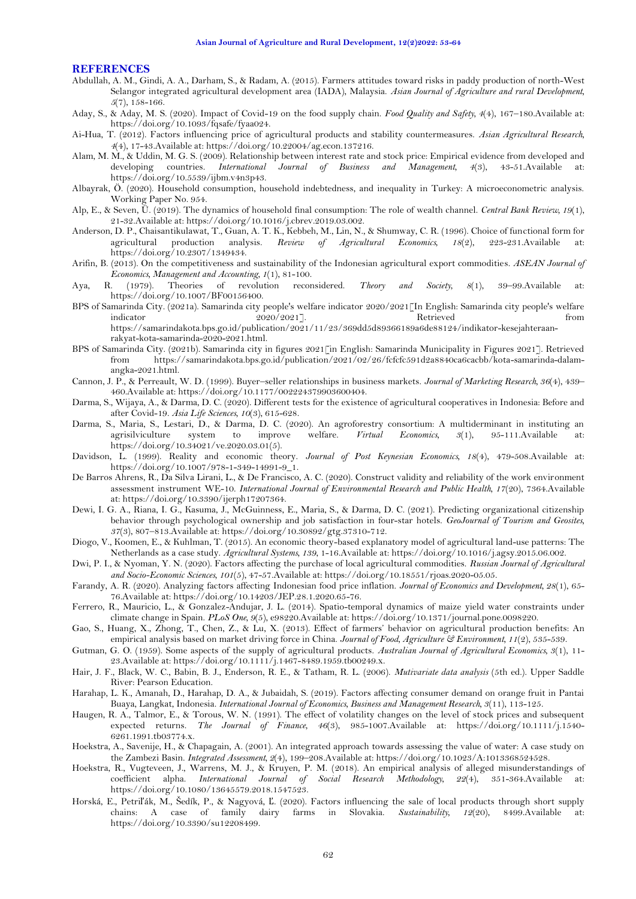### **REFERENCES**

- <span id="page-9-21"></span>Abdullah, A. M., Gindi, A. A., Darham, S., & Radam, A. (2015). Farmers attitudes toward risks in paddy production of north-West Selangor integrated agricultural development area (IADA), Malaysia. *Asian Journal of Agriculture and rural Development, 5*(7), 158-166.
- <span id="page-9-9"></span>Aday, S., & Aday, M. S. (2020). Impact of Covid-19 on the food supply chain. *Food Quality and Safety, 4*(4), 167–180.Available at: https://doi.org/10.1093/fqsafe/fyaa024.
- <span id="page-9-8"></span>Ai-Hua, T. (2012). Factors influencing price of agricultural products and stability countermeasures. *Asian Agricultural Research, 4*(4), 17-43.Available at: https://doi.org/10.22004/ag.econ.137216.
- <span id="page-9-11"></span>Alam, M. M., & Uddin, M. G. S. (2009). Relationship between interest rate and stock price: Empirical evidence from developed and developing countries. *International Journal of Business and Management, 4*(3), 43-51.Available at: https://doi.org/10.5539/ijbm.v4n3p43.
- <span id="page-9-15"></span>Albayrak, Ö. (2020). Household consumption, household indebtedness, and inequality in Turkey: A microeconometric analysis. Working Paper No. 954.
- <span id="page-9-16"></span>Alp, E., & Seven, Ü. (2019). The dynamics of household final consumption: The role of wealth channel. *Central Bank Review, 19*(1), 21-32.Available at: https://doi.org/10.1016/j.cbrev.2019.03.002.
- <span id="page-9-18"></span>Anderson, D. P., Chaisantikulawat, T., Guan, A. T. K., Kebbeh, M., Lin, N., & Shumway, C. R. (1996). Choice of functional form for agricultural production analysis. *Review of Agricultural Economics, 18*(2), 223-231.Available at: https://doi.org/10.2307/1349434.
- <span id="page-9-4"></span>Arifin, B. (2013). On the competitiveness and sustainability of the Indonesian agricultural export commodities. *ASEAN Journal of Economics, Management and Accounting, 1*(1), 81-100.
- <span id="page-9-0"></span>Aya, R. (1979). Theories of revolution reconsidered. *Theory and Society, 8*(1), 39–99.Available at: https://doi.org/10.1007/BF00156400.
- <span id="page-9-22"></span>BPS of Samarinda City. (2021a). Samarinda city people's welfare indicator 2020/2021[In English: Samarinda city people's welfare indicator 2020/2021]. Retrieved from https://samarindakota.bps.go.id/publication/2021/11/23/369dd5d89366189a6de88124/indikator-kesejahteraanrakyat-kota-samarinda-2020-2021.html.
- <span id="page-9-6"></span>BPS of Samarinda City. (2021b). Samarinda city in figures 2021[in English: Samarinda Municipality in Figures 2021]. Retrieved from https://samarindakota.bps.go.id/publication/2021/02/26/fcfcfc591d2a8840ca6cacbb/kota-samarinda-dalamangka-2021.html.
- <span id="page-9-13"></span>Cannon, J. P., & Perreault, W. D. (1999). Buyer–seller relationships in business markets. *Journal of Marketing Research, 36*(4), 439– 460.Available at: https://doi.org/10.1177/002224379903600404.
- <span id="page-9-2"></span>Darma, S., Wijaya, A., & Darma, D. C. (2020). Different tests for the existence of agricultural cooperatives in Indonesia: Before and after Covid-19. *Asia Life Sciences, 10*(3), 615-628.
- <span id="page-9-3"></span>Darma, S., Maria, S., Lestari, D., & Darma, D. C. (2020). An agroforestry consortium: A multiderminant in instituting an agrisilviculture system to improve welfare. *Virtual Economics, 3*(1), 95-111.Available at: https://doi.org/10.34021/ve.2020.03.01(5).
- <span id="page-9-10"></span>Davidson, L. (1999). Reality and economic theory. *Journal of Post Keynesian Economics, 18*(4), 479-508.Available at: https://doi.org/10.1007/978-1-349-14991-9\_1.
- <span id="page-9-23"></span>De Barros Ahrens, R., Da Silva Lirani, L., & De Francisco, A. C. (2020). Construct validity and reliability of the work environment assessment instrument WE-10. *International Journal of Environmental Research and Public Health, 17*(20), 7364.Available at: https://doi.org/10.3390/ijerph17207364.
- <span id="page-9-24"></span>Dewi, I. G. A., Riana, I. G., Kasuma, J., McGuinness, E., Maria, S., & Darma, D. C. (2021). Predicting organizational citizenship behavior through psychological ownership and job satisfaction in four-star hotels. *GeoJournal of Tourism and Geosites, 37*(3), 807–813.Available at: https://doi.org/10.30892/gtg.37310-712.
- <span id="page-9-17"></span>Diogo, V., Koomen, E., & Kuhlman, T. (2015). An economic theory-based explanatory model of agricultural land-use patterns: The Netherlands as a case study. *Agricultural Systems, 139*, 1-16.Available at: https://doi.org/10.1016/j.agsy.2015.06.002.
- <span id="page-9-19"></span>Dwi, P. I., & Nyoman, Y. N. (2020). Factors affecting the purchase of local agricultural commodities. *Russian Journal of Agricultural and Socio-Economic Sciences, 101*(5), 47-57.Available at: https://doi.org/10.18551/rjoas.2020-05.05.
- <span id="page-9-1"></span>Farandy, A. R. (2020). Analyzing factors affecting Indonesian food price inflation. *Journal of Economics and Development, 28*(1), 65- 76.Available at: https://doi.org/10.14203/JEP.28.1.2020.65-76.
- <span id="page-9-5"></span>Ferrero, R., Mauricio, L., & Gonzalez-Andujar, J. L. (2014). Spatio-temporal dynamics of maize yield water constraints under climate change in Spain. *PLoS One, 9*(5), e98220.Available at: https://doi.org/10.1371/journal.pone.0098220.
- <span id="page-9-27"></span>Gao, S., Huang, X., Zhong, T., Chen, Z., & Lu, X. (2013). Effect of farmers' behavior on agricultural production benefits: An empirical analysis based on market driving force in China. *Journal of Food, Agriculture & Environment, 11*(2), 535-539.
- <span id="page-9-20"></span>Gutman, G. O. (1959). Some aspects of the supply of agricultural products. *Australian Journal of Agricultural Economics, 3*(1), 11- 23.Available at: https://doi.org/10.1111/j.1467-8489.1959.tb00249.x.
- <span id="page-9-25"></span>Hair, J. F., Black, W. C., Babin, B. J., Enderson, R. E., & Tatham, R. L. (2006). *Mutivariate data analysis* (5th ed.). Upper Saddle River: Pearson Education.
- <span id="page-9-7"></span>Harahap, L. K., Amanah, D., Harahap, D. A., & Jubaidah, S. (2019). Factors affecting consumer demand on orange fruit in Pantai Buaya, Langkat, Indonesia. *International Journal of Economics, Business and Management Research, 3*(11), 113-125.
- <span id="page-9-12"></span>Haugen, R. A., Talmor, E., & Torous, W. N. (1991). The effect of volatility changes on the level of stock prices and subsequent expected returns. *The Journal of Finance, 46*(3), 985-1007.Available at: https://doi.org/10.1111/j.1540- 6261.1991.tb03774.x.
- <span id="page-9-14"></span>Hoekstra, A., Savenije, H., & Chapagain, A. (2001). An integrated approach towards assessing the value of water: A case study on the Zambezi Basin. *Integrated Assessment, 2*(4), 199–208.Available at: https://doi.org/10.1023/A:1013368524528.
- <span id="page-9-26"></span>Hoekstra, R., Vugteveen, J., Warrens, M. J., & Kruyen, P. M. (2018). An empirical analysis of alleged misunderstandings of coefficient alpha. *International Journal of Social Research Methodology, 22*(4), 351-364.Available at: https://doi.org/10.1080/13645579.2018.1547523.
- <span id="page-9-28"></span>Horská, E., Petriľák, M., Šedík, P., & Nagyová, Ľ. (2020). Factors influencing the sale of local products through short supply chains: A case of family dairy farms in Slovakia. *Sustainability, 12*(20), 8499.Available at: https://doi.org/10.3390/su12208499.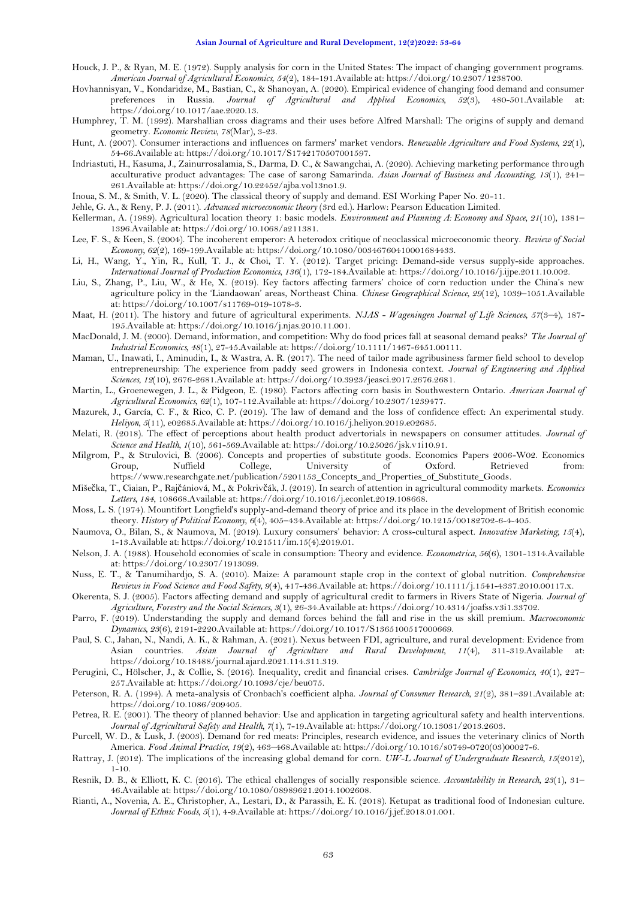- <span id="page-10-29"></span>Houck, J. P., & Ryan, M. E. (1972). Supply analysis for corn in the United States: The impact of changing government programs. *American Journal of Agricultural Economics, 54*(2), 184-191.Available at: https://doi.org/10.2307/1238700.
- <span id="page-10-10"></span>Hovhannisyan, V., Kondaridze, M., Bastian, C., & Shanoyan, A. (2020). Empirical evidence of changing food demand and consumer preferences in Russia. *Journal of Agricultural and Applied Economics, 52*(3), 480-501.Available at: https://doi.org/10.1017/aae.2020.13.
- <span id="page-10-14"></span>Humphrey, T. M. (1992). Marshallian cross diagrams and their uses before Alfred Marshall: The origins of supply and demand geometry. *Economic Review, 78*(Mar), 3-23.
- <span id="page-10-32"></span>Hunt, A. (2007). Consumer interactions and influences on farmers' market vendors. *Renewable Agriculture and Food Systems, 22*(1), 54-66.Available at: https://doi.org/10.1017/S1742170507001597.
- <span id="page-10-4"></span>Indriastuti, H., Kasuma, J., Zainurrosalamia, S., Darma, D. C., & Sawangchai, A. (2020). Achieving marketing performance through acculturative product advantages: The case of sarong Samarinda. *Asian Journal of Business and Accounting, 13*(1), 241– 261.Available at: https://doi.org/10.22452/ajba.vol13no1.9.
- <span id="page-10-6"></span>Inoua, S. M., & Smith, V. L. (2020). The classical theory of supply and demand. ESI Working Paper No. 20-11.
- <span id="page-10-13"></span>Jehle, G. A., & Reny, P. J. (2011). *Advanced microeconomic theory* (3rd ed.). Harlow: Pearson Education Limited.
- <span id="page-10-18"></span>Kellerman, A. (1989). Agricultural location theory 1: basic models. *Environment and Planning A: Economy and Space, 21*(10), 1381– 1396.Available at: https://doi.org/10.1068/a211381.
- <span id="page-10-15"></span>Lee, F. S., & Keen, S. (2004). The incoherent emperor: A heterodox critique of neoclassical microeconomic theory. *Review of Social Economy, 62*(2), 169-199.Available at: https://doi.org/10.1080/00346760410001684433.
- <span id="page-10-24"></span>Li, H., Wang, Y., Yin, R., Kull, T. J., & Choi, T. Y. (2012). Target pricing: Demand-side versus supply-side approaches. *International Journal of Production Economics, 136*(1), 172-184.Available at: https://doi.org/10.1016/j.ijpe.2011.10.002.
- <span id="page-10-30"></span>Liu, S., Zhang, P., Liu, W., & He, X. (2019). Key factors affecting farmers' choice of corn reduction under the China's new agriculture policy in the 'Liandaowan' areas, Northeast China. *Chinese Geographical Science, 29*(12), 1039–1051.Available at: https://doi.org/10.1007/s11769-019-1078-3.
- <span id="page-10-21"></span>Maat, H. (2011). The history and future of agricultural experiments. *NJAS - Wageningen Journal of Life Sciences, 57*(3–4), 187- 195.Available at: https://doi.org/10.1016/j.njas.2010.11.001.
- <span id="page-10-12"></span>MacDonald, J. M. (2000). Demand, information, and competition: Why do food prices fall at seasonal demand peaks? *The Journal of Industrial Economics, 48*(1), 27-45.Available at: https://doi.org/10.1111/1467-6451.00111.
- <span id="page-10-22"></span>Maman, U., Inawati, I., Aminudin, I., & Wastra, A. R. (2017). The need of tailor made agribusiness farmer field school to develop entrepreneurship: The experience from paddy seed growers in Indonesia context. *Journal of Engineering and Applied Sciences, 12*(10), 2676-2681.Available at: https://doi.org/10.3923/jeasci.2017.2676.2681.
- <span id="page-10-27"></span>Martin, L., Groenewegen, J. L., & Pidgeon, E. (1980). Factors affecting corn basis in Southwestern Ontario. *American Journal of Agricultural Economics, 62*(1), 107-112.Available at: https://doi.org/10.2307/1239477.
- <span id="page-10-8"></span>Mazurek, J., García, C. F., & Rico, C. P. (2019). The law of demand and the loss of confidence effect: An experimental study. *Heliyon, 5*(11), e02685.Available at: https://doi.org/10.1016/j.heliyon.2019.e02685.
- <span id="page-10-25"></span>Melati, R. (2018). The effect of perceptions about health product advertorials in newspapers on consumer attitudes. *Journal of Science and Health, 1*(10), 561-569.Available at: https://doi.org/10.25026/jsk.v1i10.91.
- <span id="page-10-11"></span>Milgrom, P., & Strulovici, B. (2006). Concepts and properties of substitute goods. Economics Papers 2006-W02. Economics Group, Nuffield College, University of Oxford. Retrieved from: https://www.researchgate.net/publication/5201153\_Concepts\_and\_Properties\_of\_Substitute\_Goods.
- <span id="page-10-31"></span>Mišečka, T., Ciaian, P., Rajčániová, M., & Pokrivčák, J. (2019). In search of attention in agricultural commodity markets. *Economics Letters, 184*, 108668.Available at: https://doi.org/10.1016/j.econlet.2019.108668.
- <span id="page-10-5"></span>Moss, L. S. (1974). Mountifort Longfield's supply-and-demand theory of price and its place in the development of British economic theory. *History of Political Economy, 6*(4), 405–434.Available at: https://doi.org/10.1215/00182702-6-4-405.
- <span id="page-10-23"></span>Naumova, O., Bilan, S., & Naumova, M. (2019). Luxury consumers' behavior: A cross-cultural aspect. *Innovative Marketing, 15*(4), 1-13.Available at: https://doi.org/10.21511/im.15(4).2019.01.
- <span id="page-10-16"></span>Nelson, J. A. (1988). Household economies of scale in consumption: Theory and evidence. *Econometrica, 56*(6), 1301-1314.Available at: https://doi.org/10.2307/1913099.
- <span id="page-10-3"></span>Nuss, E. T., & Tanumihardjo, S. A. (2010). Maize: A paramount staple crop in the context of global nutrition. *Comprehensive Reviews in Food Science and Food Safety, 9*(4), 417-436.Available at: https://doi.org/10.1111/j.1541-4337.2010.00117.x.
- <span id="page-10-19"></span>Okerenta, S. J. (2005). Factors affecting demand and supply of agricultural credit to farmers in Rivers State of Nigeria. *Journal of Agriculture, Forestry and the Social Sciences, 3*(1), 26-34.Available at: https://doi.org/10.4314/joafss.v3i1.33702.
- <span id="page-10-7"></span>Parro, F. (2019). Understanding the supply and demand forces behind the fall and rise in the us skill premium. *Macroeconomic Dynamics, 23*(6), 2191-2220.Available at: https://doi.org/10.1017/S1365100517000669.
- <span id="page-10-1"></span>Paul, S. C., Jahan, N., Nandi, A. K., & Rahman, A. (2021). Nexus between FDI, agriculture, and rural development: Evidence from Asian countries. *Asian Journal of Agriculture and Rural Development, 11*(4), 311-319.Available at: https://doi.org/10.18488/journal.ajard.2021.114.311.319.
- <span id="page-10-17"></span>Perugini, C., Hölscher, J., & Collie, S. (2016). Inequality, credit and financial crises. *Cambridge Journal of Economics, 40*(1), 227– 257.Available at: https://doi.org/10.1093/cje/beu075.
- <span id="page-10-26"></span>Peterson, R. A. (1994). A meta-analysis of Cronbach's coefficient alpha. *Journal of Consumer Research, 21*(2), 381–391.Available at: https://doi.org/10.1086/209405.
- <span id="page-10-20"></span>Petrea, R. E. (2001). The theory of planned behavior: Use and application in targeting agricultural safety and health interventions. *Journal of Agricultural Safety and Health, 7*(1), 7-19.Available at: https://doi.org/10.13031/2013.2603.
- <span id="page-10-9"></span>Purcell, W. D., & Lusk, J. (2003). Demand for red meats: Principles, research evidence, and issues the veterinary clinics of North America. *Food Animal Practice, 19*(2), 463–468.Available at: https://doi.org/10.1016/s0749-0720(03)00027-6.
- <span id="page-10-28"></span>Rattray, J. (2012). The implications of the increasing global demand for corn. *UW-L Journal of Undergraduate Research, 15*(2012),  $1 - 10$ .
- <span id="page-10-0"></span>Resnik, D. B., & Elliott, K. C. (2016). The ethical challenges of socially responsible science. *Accountability in Research, 23*(1), 31– 46.Available at: https://doi.org/10.1080/08989621.2014.1002608.
- <span id="page-10-2"></span>Rianti, A., Novenia, A. E., Christopher, A., Lestari, D., & Parassih, E. K. (2018). Ketupat as traditional food of Indonesian culture. *Journal of Ethnic Foods, 5*(1), 4-9.Available at: https://doi.org/10.1016/j.jef.2018.01.001.